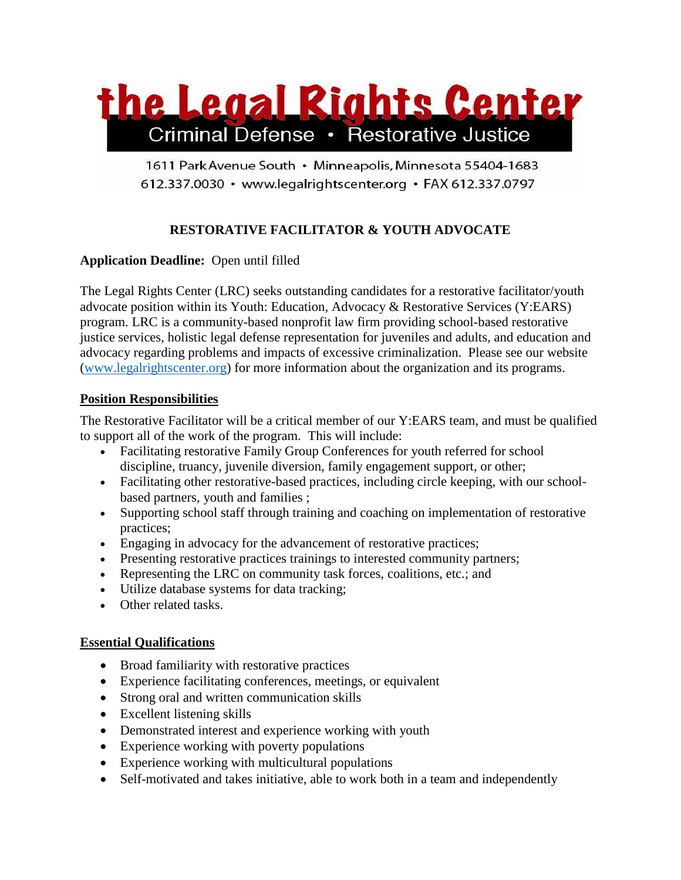

1611 Park Avenue South · Minneapolis, Minnesota 55404-1683 612.337.0030 · www.legalrightscenter.org · FAX 612.337.0797

# **RESTORATIVE FACILITATOR & YOUTH ADVOCATE**

## **Application Deadline:** Open until filled

The Legal Rights Center (LRC) seeks outstanding candidates for a restorative facilitator/youth advocate position within its Youth: Education, Advocacy & Restorative Services (Y:EARS) program. LRC is a community-based nonprofit law firm providing school-based restorative justice services, holistic legal defense representation for juveniles and adults, and education and advocacy regarding problems and impacts of excessive criminalization. Please see our website [\(www.legalrightscenter.org\)](http://www.legalrightscenter.org/) for more information about the organization and its programs.

## **Position Responsibilities**

The Restorative Facilitator will be a critical member of our Y:EARS team, and must be qualified to support all of the work of the program. This will include:

- Facilitating restorative Family Group Conferences for youth referred for school discipline, truancy, juvenile diversion, family engagement support, or other;
- Facilitating other restorative-based practices, including circle keeping, with our schoolbased partners, youth and families ;
- Supporting school staff through training and coaching on implementation of restorative practices;
- Engaging in advocacy for the advancement of restorative practices;
- Presenting restorative practices trainings to interested community partners;
- Representing the LRC on community task forces, coalitions, etc.; and
- Utilize database systems for data tracking;
- Other related tasks.

#### **Essential Qualifications**

- Broad familiarity with restorative practices
- Experience facilitating conferences, meetings, or equivalent
- Strong oral and written communication skills
- Excellent listening skills
- Demonstrated interest and experience working with youth
- Experience working with poverty populations
- Experience working with multicultural populations
- Self-motivated and takes initiative, able to work both in a team and independently